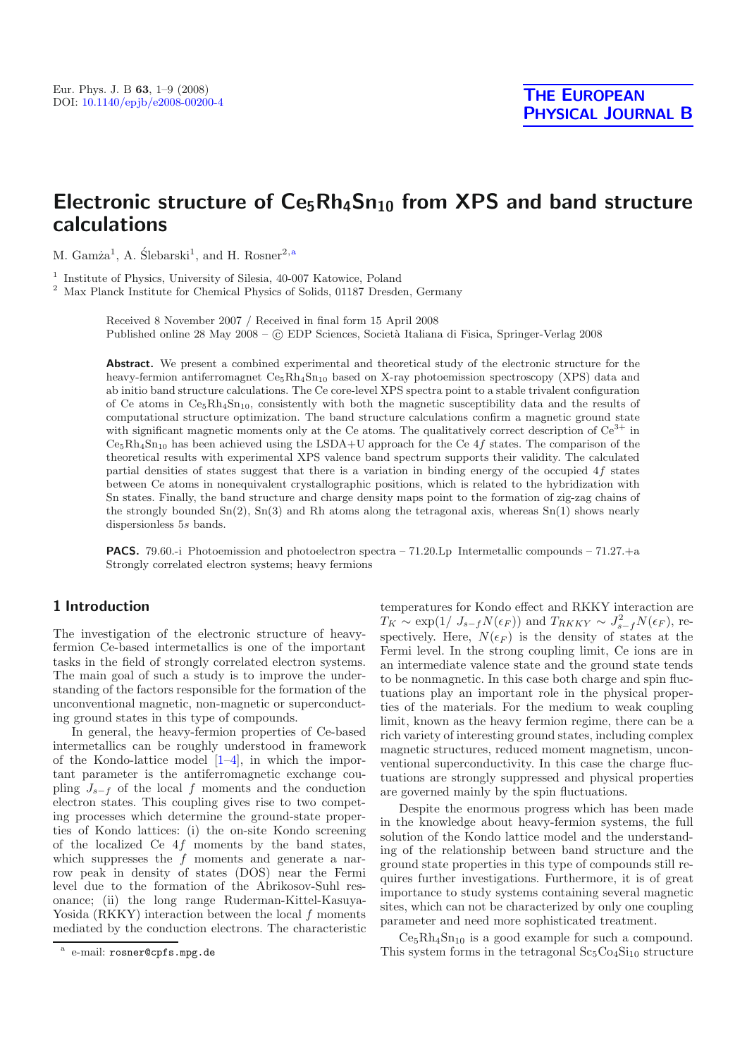# Electronic structure of Ce<sub>5</sub>Rh<sub>4</sub>Sn<sub>10</sub> from XPS and band structure **calculations**

M. Gam $\lambda^1$ , A. Slebarski<sup>1</sup>, and H. Rosner<sup>2,a</sup>

<sup>1</sup> Institute of Physics, University of Silesia, 40-007 Katowice, Poland

<sup>2</sup> Max Planck Institute for Chemical Physics of Solids, 01187 Dresden, Germany

Received 8 November 2007 / Received in final form 15 April 2008 Published online 28 May 2008 –  $\odot$  EDP Sciences, Società Italiana di Fisica, Springer-Verlag 2008

**Abstract.** We present a combined experimental and theoretical study of the electronic structure for the heavy-fermion antiferromagnet  $Ce<sub>5</sub>Rh<sub>4</sub>Sn<sub>10</sub>$  based on X-ray photoemission spectroscopy (XPS) data and ab initio band structure calculations. The Ce core-level XPS spectra point to a stable trivalent configuration of Ce atoms in  $C_{5}Rh_{4}Sn_{10}$ , consistently with both the magnetic susceptibility data and the results of computational structure optimization. The band structure calculations confirm a magnetic ground state with significant magnetic moments only at the Ce atoms. The qualitatively correct description of  $Ce^{3+}$  in  $Ce<sub>5</sub>Rh<sub>4</sub>Sn<sub>10</sub>$  has been achieved using the LSDA+U approach for the Ce 4f states. The comparison of the theoretical results with experimental XPS valence band spectrum supports their validity. The calculated partial densities of states suggest that there is a variation in binding energy of the occupied 4f states between Ce atoms in nonequivalent crystallographic positions, which is related to the hybridization with Sn states. Finally, the band structure and charge density maps point to the formation of zig-zag chains of the strongly bounded  $Sn(2)$ ,  $Sn(3)$  and Rh atoms along the tetragonal axis, whereas  $Sn(1)$  shows nearly dispersionless 5s bands.

**PACS.** 79.60.-i Photoemission and photoelectron spectra – 71.20. Lp Intermetallic compounds – 71.27.+a Strongly correlated electron systems; heavy fermions

# **1 Introduction**

The investigation of the electronic structure of heavyfermion Ce-based intermetallics is one of the important tasks in the field of strongly correlated electron systems. The main goal of such a study is to improve the understanding of the factors responsible for the formation of the unconventional magnetic, non-magnetic or superconducting ground states in this type of compounds.

In general, the heavy-fermion properties of Ce-based intermetallics can be roughly understood in framework of the Kondo-lattice model  $[1-4]$  $[1-4]$ , in which the important parameter is the antiferromagnetic exchange coupling  $J_{s-f}$  of the local f moments and the conduction electron states. This coupling gives rise to two competing processes which determine the ground-state properties of Kondo lattices: (i) the on-site Kondo screening of the localized Ce  $4f$  moments by the band states, which suppresses the  $f$  moments and generate a narrow peak in density of states (DOS) near the Fermi level due to the formation of the Abrikosov-Suhl resonance; (ii) the long range Ruderman-Kittel-Kasuya-Yosida (RKKY) interaction between the local f moments mediated by the conduction electrons. The characteristic temperatures for Kondo effect and RKKY interaction are  $T_K \sim \exp(1/\left(J_{s-f}N(\epsilon_F)\right))$  and  $T_{RKKY} \sim J_{s-f}^2N(\epsilon_F)$ , respectively. Here,  $N(\epsilon_F)$  is the density of states at the Fermi level. In the strong coupling limit, Ce ions are in an intermediate valence state and the ground state tends to be nonmagnetic. In this case both charge and spin fluctuations play an important role in the physical properties of the materials. For the medium to weak coupling limit, known as the heavy fermion regime, there can be a rich variety of interesting ground states, including complex magnetic structures, reduced moment magnetism, unconventional superconductivity. In this case the charge fluctuations are strongly suppressed and physical properties are governed mainly by the spin fluctuations.

Despite the enormous progress which has been made in the knowledge about heavy-fermion systems, the full solution of the Kondo lattice model and the understanding of the relationship between band structure and the ground state properties in this type of compounds still requires further investigations. Furthermore, it is of great importance to study systems containing several magnetic sites, which can not be characterized by only one coupling parameter and need more sophisticated treatment.

 $Ce<sub>5</sub>Rh<sub>4</sub>Sn<sub>10</sub>$  is a good example for such a compound. This system forms in the tetragonal  $Sc<sub>5</sub>Co<sub>4</sub>Si<sub>10</sub>$  structure

e-mail: rosner@cpfs.mpg.de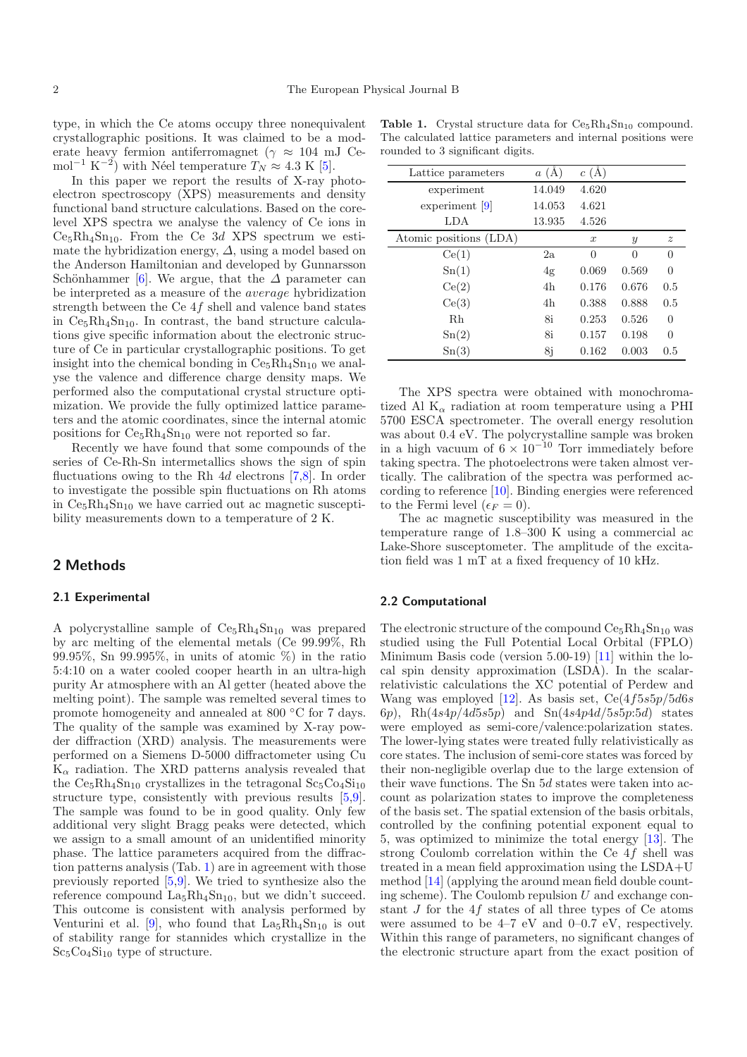type, in which the Ce atoms occupy three nonequivalent crystallographic positions. It was claimed to be a moderate heavy fermion antiferromagnet ( $\gamma \approx 104$  mJ Cemol<sup>-1</sup> K<sup>-2</sup>) with Néel temperature  $T_N \approx 4.3$  K [\[5\]](#page-8-0).

In this paper we report the results of X-ray photoelectron spectroscopy (XPS) measurements and density functional band structure calculations. Based on the corelevel XPS spectra we analyse the valency of Ce ions in  $Ce<sub>5</sub>Rh<sub>4</sub>Sn<sub>10</sub>$ . From the Ce 3d XPS spectrum we estimate the hybridization energy,  $\Delta$ , using a model based on the Anderson Hamiltonian and developed by Gunnarsson Schönhammer [\[6](#page-8-1)]. We argue, that the  $\Delta$  parameter can be interpreted as a measure of the average hybridization strength between the Ce 4f shell and valence band states in  $Ce<sub>5</sub>Rh<sub>4</sub>Sn<sub>10</sub>$ . In contrast, the band structure calculations give specific information about the electronic structure of Ce in particular crystallographic positions. To get insight into the chemical bonding in  $Ce<sub>5</sub>Rh<sub>4</sub>Sn<sub>10</sub>$  we analyse the valence and difference charge density maps. We performed also the computational crystal structure optimization. We provide the fully optimized lattice parameters and the atomic coordinates, since the internal atomic positions for  $Ce<sub>5</sub>Rh<sub>4</sub>Sn<sub>10</sub>$  were not reported so far.

Recently we have found that some compounds of the series of Ce-Rh-Sn intermetallics shows the sign of spin fluctuations owing to the Rh 4d electrons [\[7](#page-8-2)[,8\]](#page-8-3). In order to investigate the possible spin fluctuations on Rh atoms in  $Ce<sub>5</sub>Rh<sub>4</sub>Sn<sub>10</sub>$  we have carried out ac magnetic susceptibility measurements down to a temperature of 2 K.

# **2 Methods**

## **2.1 Experimental**

A polycrystalline sample of  $Ce<sub>5</sub>Rh<sub>4</sub>Sn<sub>10</sub>$  was prepared by arc melting of the elemental metals (Ce 99.99%, Rh 99.95%, Sn 99.995%, in units of atomic %) in the ratio 5:4:10 on a water cooled cooper hearth in an ultra-high purity Ar atmosphere with an Al getter (heated above the melting point). The sample was remelted several times to promote homogeneity and annealed at 800 ◦C for 7 days. The quality of the sample was examined by X-ray powder diffraction (XRD) analysis. The measurements were performed on a Siemens D-5000 diffractometer using Cu  $K_{\alpha}$  radiation. The XRD patterns analysis revealed that the  $Ce<sub>5</sub>Rh<sub>4</sub>Sn<sub>10</sub>$  crystallizes in the tetragonal  $Sc<sub>5</sub>Co<sub>4</sub>Si<sub>10</sub>$ structure type, consistently with previous results [\[5](#page-8-0)[,9\]](#page-8-4). The sample was found to be in good quality. Only few additional very slight Bragg peaks were detected, which we assign to a small amount of an unidentified minority phase. The lattice parameters acquired from the diffraction patterns analysis (Tab. [1\)](#page-1-0) are in agreement with those previously reported [\[5](#page-8-0)[,9](#page-8-4)]. We tried to synthesize also the reference compound  $La<sub>5</sub>Rh<sub>4</sub>Sn<sub>10</sub>$ , but we didn't succeed. This outcome is consistent with analysis performed by Venturini et al. [\[9\]](#page-8-4), who found that  $La<sub>5</sub>Rh<sub>4</sub>Sn<sub>10</sub>$  is out of stability range for stannides which crystallize in the  $Sc_5Co_4Si_{10}$  type of structure.

<span id="page-1-0"></span>

|                                  | <b>Table 1.</b> Crystal structure data for $C_{65}Rh_4Sn_{10}$ compound. |  |  |
|----------------------------------|--------------------------------------------------------------------------|--|--|
|                                  | The calculated lattice parameters and internal positions were            |  |  |
| rounded to 3 significant digits. |                                                                          |  |  |

| $a(\AA)$ | c(A)             |               |                  |
|----------|------------------|---------------|------------------|
| 14.049   | 4.620            |               |                  |
| 14.053   | 4.621            |               |                  |
| 13.935   | 4.526            |               |                  |
|          | $\boldsymbol{x}$ | $\mathcal{Y}$ | $\boldsymbol{z}$ |
| 2a       | $\theta$         | $\Omega$      | $\Omega$         |
| 4g       | 0.069            | 0.569         | ∩                |
| 4h       | 0.176            | 0.676         | 0.5              |
| 4h       | 0.388            | 0.888         | 0.5              |
| 8i       | 0.253            | 0.526         | 0                |
| 8i       | 0.157            | 0.198         | 0                |
| 8j       | 0.162            | 0.003         | 0.5              |
|          |                  |               |                  |

The XPS spectra were obtained with monochromatized Al  $K_{\alpha}$  radiation at room temperature using a PHI 5700 ESCA spectrometer. The overall energy resolution was about 0.4 eV. The polycrystalline sample was broken in a high vacuum of  $6 \times 10^{-10}$  Torr immediately before taking spectra. The photoelectrons were taken almost vertically. The calibration of the spectra was performed according to reference [\[10](#page-8-5)]. Binding energies were referenced to the Fermi level  $(\epsilon_F = 0)$ .

The ac magnetic susceptibility was measured in the temperature range of 1.8–300 K using a commercial ac Lake-Shore susceptometer. The amplitude of the excitation field was 1 mT at a fixed frequency of 10 kHz.

## **2.2 Computational**

The electronic structure of the compound  $Ce<sub>5</sub>Rh<sub>4</sub>Sn<sub>10</sub>$  was studied using the Full Potential Local Orbital (FPLO) Minimum Basis code (version 5.00-19) [\[11\]](#page-8-6) within the local spin density approximation (LSDA). In the scalarrelativistic calculations the XC potential of Perdew and Wang was employed [\[12\]](#page-8-7). As basis set,  $Ce(4f5s5p/5d6s)$ 6p),  $Rh(4s4p/4d5s5p)$  and  $Sn(4s4p4d/5s5p:5d)$  states were employed as semi-core/valence:polarization states. The lower-lying states were treated fully relativistically as core states. The inclusion of semi-core states was forced by their non-negligible overlap due to the large extension of their wave functions. The Sn 5d states were taken into account as polarization states to improve the completeness of the basis set. The spatial extension of the basis orbitals, controlled by the confining potential exponent equal to 5, was optimized to minimize the total energy [\[13](#page-8-8)]. The strong Coulomb correlation within the Ce 4f shell was treated in a mean field approximation using the LSDA+U method [\[14\]](#page-8-9) (applying the around mean field double counting scheme). The Coulomb repulsion  $U$  and exchange constant  $J$  for the  $4f$  states of all three types of Ce atoms were assumed to be  $4-7$  eV and  $0-0.7$  eV, respectively. Within this range of parameters, no significant changes of the electronic structure apart from the exact position of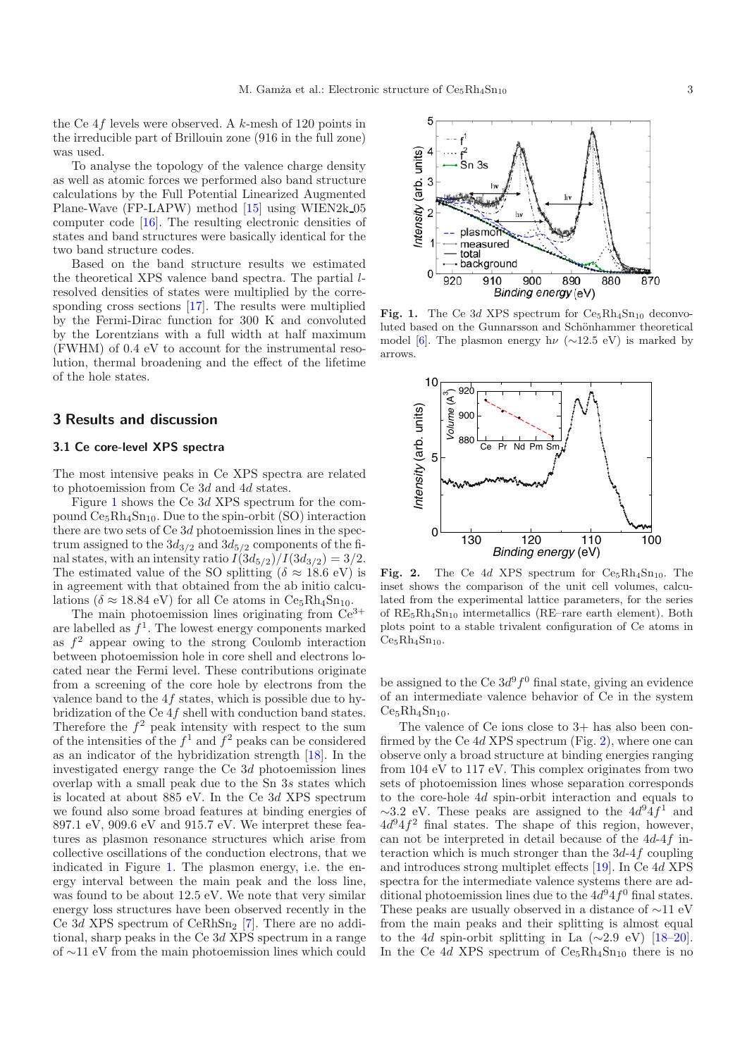the Ce 4f levels were observed. A k-mesh of 120 points in the irreducible part of Brillouin zone (916 in the full zone) was used.

To analyse the topology of the valence charge density as well as atomic forces we performed also band structure calculations by the Full Potential Linearized Augmented Plane-Wave (FP-LAPW) method [\[15](#page-8-10)] using WIEN2k 05 computer code [\[16\]](#page-8-11). The resulting electronic densities of states and band structures were basically identical for the two band structure codes.

Based on the band structure results we estimated the theoretical XPS valence band spectra. The partial lresolved densities of states were multiplied by the corresponding cross sections [\[17\]](#page-8-12). The results were multiplied by the Fermi-Dirac function for 300 K and convoluted by the Lorentzians with a full width at half maximum (FWHM) of 0.4 eV to account for the instrumental resolution, thermal broadening and the effect of the lifetime of the hole states.

# **3 Results and discussion**

## **3.1 Ce core-level XPS spectra**

The most intensive peaks in Ce XPS spectra are related to photoemission from Ce 3d and 4d states.

Figure [1](#page-2-0) shows the Ce 3d XPS spectrum for the compound  $Ce<sub>5</sub>Rh<sub>4</sub>Sn<sub>10</sub>$ . Due to the spin-orbit (SO) interaction there are two sets of Ce 3d photoemission lines in the spectrum assigned to the  $3d_{3/2}$  and  $3d_{5/2}$  components of the final states, with an intensity ratio  $I(3d_{5/2})/I(3d_{3/2})=3/2$ . The estimated value of the SO splitting ( $\delta \approx 18.6$  eV) is in agreement with that obtained from the ab initio calculations ( $\delta \approx 18.84$  eV) for all Ce atoms in Ce<sub>5</sub>Rh<sub>4</sub>Sn<sub>10</sub>.

The main photoemission lines originating from  $\mathrm{Ce}^{3+}$ are labelled as  $f<sup>1</sup>$ . The lowest energy components marked as  $f^2$  appear owing to the strong Coulomb interaction between photoemission hole in core shell and electrons located near the Fermi level. These contributions originate from a screening of the core hole by electrons from the valence band to the  $4f$  states, which is possible due to hybridization of the Ce 4f shell with conduction band states. Therefore the  $f^2$  peak intensity with respect to the sum of the intensities of the  $f^1$  and  $f^2$  peaks can be considered as an indicator of the hybridization strength [\[18](#page-8-13)]. In the investigated energy range the Ce 3d photoemission lines overlap with a small peak due to the Sn 3s states which is located at about 885 eV. In the Ce 3d XPS spectrum we found also some broad features at binding energies of 897.1 eV, 909.6 eV and 915.7 eV. We interpret these features as plasmon resonance structures which arise from collective oscillations of the conduction electrons, that we indicated in Figure [1.](#page-2-0) The plasmon energy, i.e. the energy interval between the main peak and the loss line, was found to be about 12.5 eV. We note that very similar energy loss structures have been observed recently in the Ce  $3d$  XPS spectrum of CeRhSn<sub>2</sub> [\[7\]](#page-8-2). There are no additional, sharp peaks in the Ce 3d XPS spectrum in a range of ∼11 eV from the main photoemission lines which could

<span id="page-2-0"></span>

**Fig. 1.** The Ce 3d XPS spectrum for  $Ce_5Rh_4Sn_{10}$  deconvoluted based on the Gunnarsson and Schönhammer theoretical model [\[6](#page-8-1)]. The plasmon energy h $\nu$  (∼12.5 eV) is marked by arrows.

<span id="page-2-1"></span>

Fig. 2. The Ce 4d XPS spectrum for  $Ce<sub>5</sub>Rh<sub>4</sub>Sn<sub>10</sub>$ . The inset shows the comparison of the unit cell volumes, calculated from the experimental lattice parameters, for the series of  $RE_5Rh_4Sn_{10}$  intermetallics (RE–rare earth element). Both plots point to a stable trivalent configuration of Ce atoms in  $Ce<sub>5</sub>Rh<sub>4</sub>Sn<sub>10</sub>$ .

be assigned to the Ce  $3d^9f^0$  final state, giving an evidence of an intermediate valence behavior of Ce in the system  $Ce<sub>5</sub>Rh<sub>4</sub>Sn<sub>10</sub>$ .

The valence of Ce ions close to 3+ has also been confirmed by the Ce 4d XPS spectrum (Fig. [2\)](#page-2-1), where one can observe only a broad structure at binding energies ranging from 104 eV to 117 eV. This complex originates from two sets of photoemission lines whose separation corresponds to the core-hole 4d spin-orbit interaction and equals to  $\sim$ 3.2 eV. These peaks are assigned to the  $4d^{9}4f^{1}$  and  $4d^{9}4f^{2}$  final states. The shape of this region, however, can not be interpreted in detail because of the 4d-4f interaction which is much stronger than the  $3d-4f$  coupling and introduces strong multiplet effects [\[19\]](#page-8-14). In Ce 4d XPS spectra for the intermediate valence systems there are additional photoemission lines due to the  $4d^{9}4f^{0}$  final states. These peaks are usually observed in a distance of ∼11 eV from the main peaks and their splitting is almost equal to the 4d spin-orbit splitting in La  $(\sim 2.9 \text{ eV})$  [\[18](#page-8-13)[–20\]](#page-8-15). In the Ce 4d XPS spectrum of  $Ce<sub>5</sub>Rh<sub>4</sub>Sn<sub>10</sub>$  there is no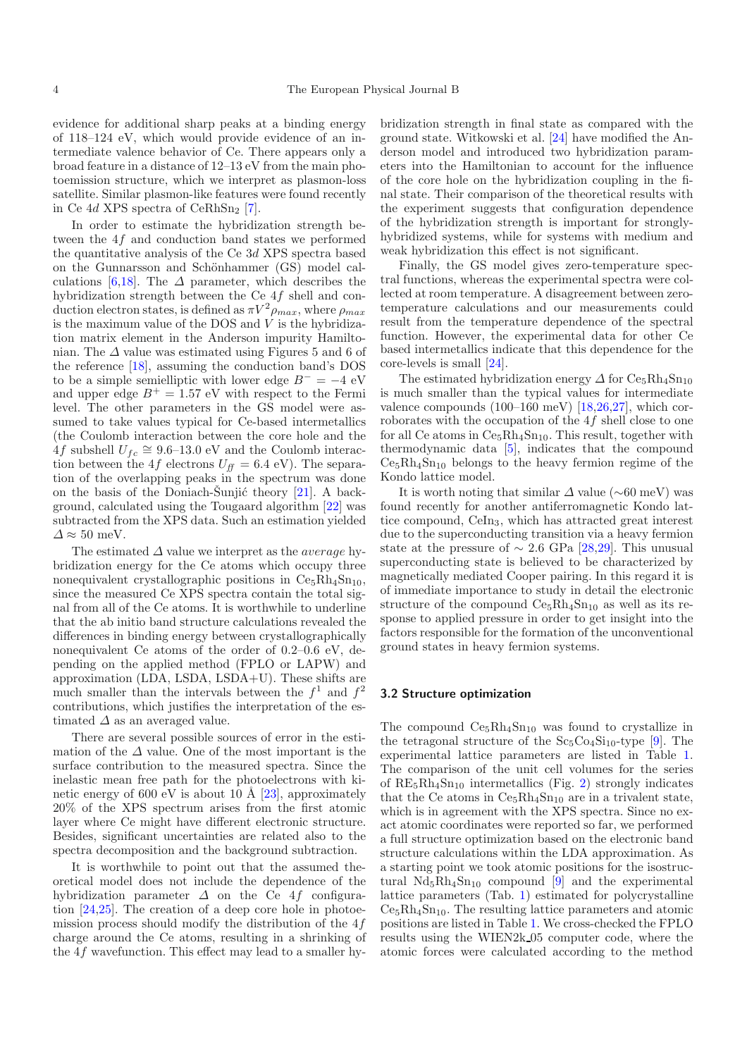evidence for additional sharp peaks at a binding energy of 118–124 eV, which would provide evidence of an intermediate valence behavior of Ce. There appears only a broad feature in a distance of 12–13 eV from the main photoemission structure, which we interpret as plasmon-loss satellite. Similar plasmon-like features were found recently in Ce  $4d$  XPS spectra of CeRhSn<sub>2</sub> [\[7](#page-8-2)].

In order to estimate the hybridization strength between the 4f and conduction band states we performed the quantitative analysis of the Ce 3d XPS spectra based on the Gunnarsson and Schönhammer (GS) model cal-culations [\[6](#page-8-1)[,18](#page-8-13)]. The  $\Delta$  parameter, which describes the hybridization strength between the Ce 4f shell and conduction electron states, is defined as  $\pi V^2 \rho_{max}$ , where  $\rho_{max}$ is the maximum value of the DOS and  $V$  is the hybridization matrix element in the Anderson impurity Hamiltonian. The  $\Delta$  value was estimated using Figures 5 and 6 of the reference [\[18](#page-8-13)], assuming the conduction band's DOS to be a simple semielliptic with lower edge  $B^- = -4$  eV and upper edge  $B^+ = 1.57$  eV with respect to the Fermi level. The other parameters in the GS model were assumed to take values typical for Ce-based intermetallics (the Coulomb interaction between the core hole and the 4f subshell  $U_{fc} \cong 9.6$ –13.0 eV and the Coulomb interaction between the 4f electrons  $U_{ff} = 6.4$  eV). The separation of the overlapping peaks in the spectrum was done on the basis of the Doniach-Sunjić theory  $[21]$ . A background, calculated using the Tougaard algorithm [\[22\]](#page-8-17) was subtracted from the XPS data. Such an estimation yielded  $\Delta \approx 50$  meV.

The estimated  $\Delta$  value we interpret as the *average* hybridization energy for the Ce atoms which occupy three nonequivalent crystallographic positions in  $Ce<sub>5</sub>Rh<sub>4</sub>Sn<sub>10</sub>$ , since the measured Ce XPS spectra contain the total signal from all of the Ce atoms. It is worthwhile to underline that the ab initio band structure calculations revealed the differences in binding energy between crystallographically nonequivalent Ce atoms of the order of 0.2–0.6 eV, depending on the applied method (FPLO or LAPW) and approximation (LDA, LSDA, LSDA+U). These shifts are much smaller than the intervals between the  $f^1$  and  $f^2$ contributions, which justifies the interpretation of the estimated  $\Delta$  as an averaged value.

There are several possible sources of error in the estimation of the  $\Delta$  value. One of the most important is the surface contribution to the measured spectra. Since the inelastic mean free path for the photoelectrons with ki-netic energy of 600 eV is about 10 Å [\[23](#page-8-18)], approximately 20% of the XPS spectrum arises from the first atomic layer where Ce might have different electronic structure. Besides, significant uncertainties are related also to the spectra decomposition and the background subtraction.

It is worthwhile to point out that the assumed theoretical model does not include the dependence of the hybridization parameter  $\Delta$  on the Ce 4f configuration [\[24](#page-8-19)[,25\]](#page-8-20). The creation of a deep core hole in photoemission process should modify the distribution of the  $4f$ charge around the Ce atoms, resulting in a shrinking of the 4f wavefunction. This effect may lead to a smaller hy-

bridization strength in final state as compared with the ground state. Witkowski et al. [\[24\]](#page-8-19) have modified the Anderson model and introduced two hybridization parameters into the Hamiltonian to account for the influence of the core hole on the hybridization coupling in the final state. Their comparison of the theoretical results with the experiment suggests that configuration dependence of the hybridization strength is important for stronglyhybridized systems, while for systems with medium and weak hybridization this effect is not significant.

Finally, the GS model gives zero-temperature spectral functions, whereas the experimental spectra were collected at room temperature. A disagreement between zerotemperature calculations and our measurements could result from the temperature dependence of the spectral function. However, the experimental data for other Ce based intermetallics indicate that this dependence for the core-levels is small [\[24](#page-8-19)].

The estimated hybridization energy  $\Delta$  for Ce<sub>5</sub>Rh<sub>4</sub>Sn<sub>10</sub> is much smaller than the typical values for intermediate valence compounds  $(100-160 \text{ meV})$  [\[18](#page-8-13)[,26](#page-8-21)[,27\]](#page-8-22), which corroborates with the occupation of the 4f shell close to one for all Ce atoms in  $Ce<sub>5</sub>Rh<sub>4</sub>Sn<sub>10</sub>$ . This result, together with thermodynamic data [\[5](#page-8-0)], indicates that the compound  $Ce<sub>5</sub>Rh<sub>4</sub>Sn<sub>10</sub>$  belongs to the heavy fermion regime of the Kondo lattice model.

It is worth noting that similar  $\Delta$  value ( $\sim$ 60 meV) was found recently for another antiferromagnetic Kondo lattice compound, CeIn3, which has attracted great interest due to the superconducting transition via a heavy fermion state at the pressure of  $\sim 2.6$  GPa [\[28](#page-8-23)[,29\]](#page-8-24). This unusual superconducting state is believed to be characterized by magnetically mediated Cooper pairing. In this regard it is of immediate importance to study in detail the electronic structure of the compound  $Ce<sub>5</sub>Rh<sub>4</sub>Sn<sub>10</sub>$  as well as its response to applied pressure in order to get insight into the factors responsible for the formation of the unconventional ground states in heavy fermion systems.

#### **3.2 Structure optimization**

The compound  $Ce<sub>5</sub>Rh<sub>4</sub>Sn<sub>10</sub>$  was found to crystallize in the tetragonal structure of the  $Sc_5Co_4Si_{10}$ -type [\[9](#page-8-4)]. The experimental lattice parameters are listed in Table [1.](#page-1-0) The comparison of the unit cell volumes for the series of  $RE_5Rh_4Sn_{10}$  intermetallics (Fig. [2\)](#page-2-1) strongly indicates that the Ce atoms in  $Ce<sub>5</sub>Rh<sub>4</sub>Sn<sub>10</sub>$  are in a trivalent state, which is in agreement with the XPS spectra. Since no exact atomic coordinates were reported so far, we performed a full structure optimization based on the electronic band structure calculations within the LDA approximation. As a starting point we took atomic positions for the isostructural  $Nd_5Rh_4Sn_{10}$  compound [\[9](#page-8-4)] and the experimental lattice parameters (Tab. [1\)](#page-1-0) estimated for polycrystalline  $Ce<sub>5</sub>Rh<sub>4</sub>Sn<sub>10</sub>$ . The resulting lattice parameters and atomic positions are listed in Table [1.](#page-1-0) We cross-checked the FPLO results using the WIEN2k 05 computer code, where the atomic forces were calculated according to the method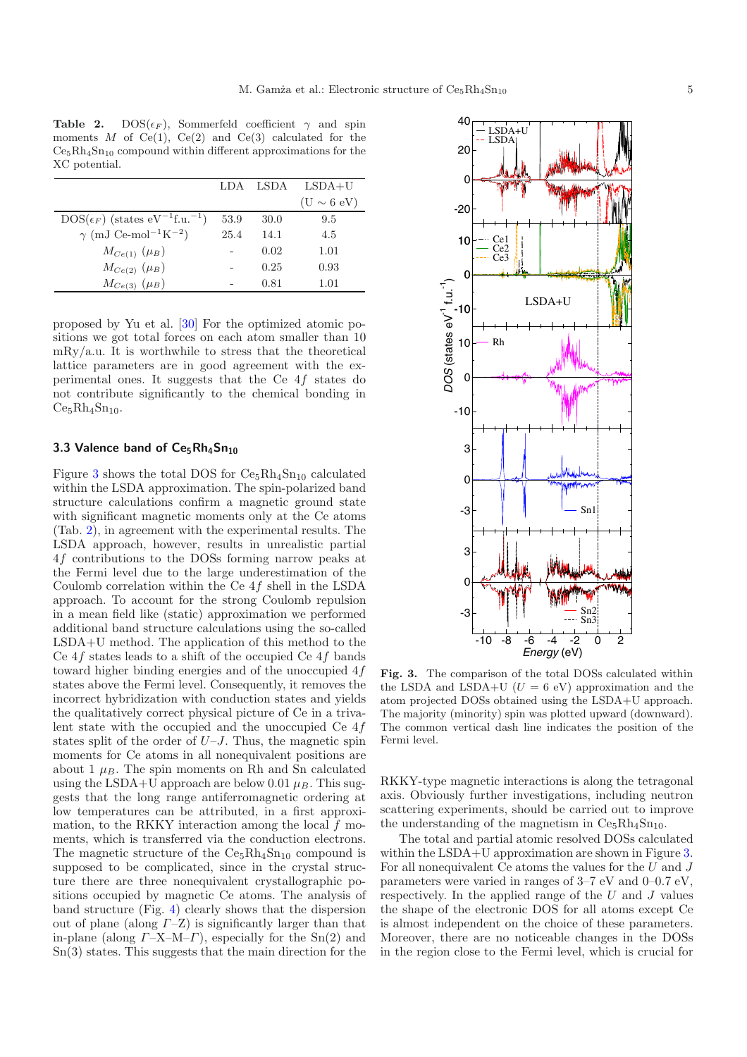<span id="page-4-1"></span>**Table 2.**  $DOS(\epsilon_F)$ , Sommerfeld coefficient  $\gamma$  and spin moments M of  $Ce(1)$ ,  $Ce(2)$  and  $Ce(3)$  calculated for the  $Ce<sub>5</sub>Rh<sub>4</sub>Sn<sub>10</sub>$  compound within different approximations for the XC potential.

|                                                                 | LDA  | LSDA | $LSDA+U$        |
|-----------------------------------------------------------------|------|------|-----------------|
|                                                                 |      |      | $(U \sim 6$ eV) |
| $DOS(\epsilon_F)$ (states eV <sup>-1</sup> f.u. <sup>-1</sup> ) | 53.9 | 30.0 | 9.5             |
| $\gamma$ (mJ Ce-mol <sup>-1</sup> K <sup>-2</sup> )             | 25.4 | 14.1 | 4.5             |
| $M_{Ce(1)}(\mu_B)$                                              |      | 0.02 | 1.01            |
| $M_{Ce(2)}(\mu_B)$                                              |      | 0.25 | 0.93            |
| $M_{Ce(3)}(\mu_B)$                                              |      | 0.81 | 1.01            |

proposed by Yu et al. [\[30\]](#page-8-25) For the optimized atomic positions we got total forces on each atom smaller than 10 mRy/a.u. It is worthwhile to stress that the theoretical lattice parameters are in good agreement with the experimental ones. It suggests that the Ce 4f states do not contribute significantly to the chemical bonding in  $Ce<sub>5</sub>Rh<sub>4</sub>Sn<sub>10</sub>$ .

## 3.3 Valence band of Ce<sub>5</sub>Rh<sub>4</sub>Sn<sub>10</sub>

Figure [3](#page-4-0) shows the total DOS for  $Ce<sub>5</sub>Rh<sub>4</sub>Sn<sub>10</sub>$  calculated within the LSDA approximation. The spin-polarized band structure calculations confirm a magnetic ground state with significant magnetic moments only at the Ce atoms (Tab. [2\)](#page-4-1), in agreement with the experimental results. The LSDA approach, however, results in unrealistic partial 4f contributions to the DOSs forming narrow peaks at the Fermi level due to the large underestimation of the Coulomb correlation within the Ce 4f shell in the LSDA approach. To account for the strong Coulomb repulsion in a mean field like (static) approximation we performed additional band structure calculations using the so-called LSDA+U method. The application of this method to the Ce  $4f$  states leads to a shift of the occupied Ce  $4f$  bands toward higher binding energies and of the unoccupied 4f states above the Fermi level. Consequently, it removes the incorrect hybridization with conduction states and yields the qualitatively correct physical picture of Ce in a trivalent state with the occupied and the unoccupied Ce 4f states split of the order of  $U-J$ . Thus, the magnetic spin moments for Ce atoms in all nonequivalent positions are about 1  $\mu_B$ . The spin moments on Rh and Sn calculated using the LSDA+U approach are below 0.01  $\mu_B$ . This suggests that the long range antiferromagnetic ordering at low temperatures can be attributed, in a first approximation, to the RKKY interaction among the local  $f$  moments, which is transferred via the conduction electrons. The magnetic structure of the  $Ce<sub>5</sub>Rh<sub>4</sub>Sn<sub>10</sub>$  compound is supposed to be complicated, since in the crystal structure there are three nonequivalent crystallographic positions occupied by magnetic Ce atoms. The analysis of band structure (Fig. [4\)](#page-5-0) clearly shows that the dispersion out of plane (along  $\Gamma$ –Z) is significantly larger than that in-plane (along  $\Gamma$ –X–M– $\Gamma$ ), especially for the Sn(2) and Sn(3) states. This suggests that the main direction for the



<span id="page-4-0"></span>**Fig. 3.** The comparison of the total DOSs calculated within the LSDA and LSDA+U  $(U = 6$  eV) approximation and the atom projected DOSs obtained using the LSDA+U approach. The majority (minority) spin was plotted upward (downward). The common vertical dash line indicates the position of the Fermi level.

RKKY-type magnetic interactions is along the tetragonal axis. Obviously further investigations, including neutron scattering experiments, should be carried out to improve the understanding of the magnetism in  $Ce<sub>5</sub>Rh<sub>4</sub>Sn<sub>10</sub>$ .

The total and partial atomic resolved DOSs calculated within the LSDA+U approximation are shown in Figure [3.](#page-4-0) For all nonequivalent Ce atoms the values for the  $U$  and  $J$ parameters were varied in ranges of 3–7 eV and 0–0.7 eV, respectively. In the applied range of the  $U$  and  $J$  values the shape of the electronic DOS for all atoms except Ce is almost independent on the choice of these parameters. Moreover, there are no noticeable changes in the DOSs in the region close to the Fermi level, which is crucial for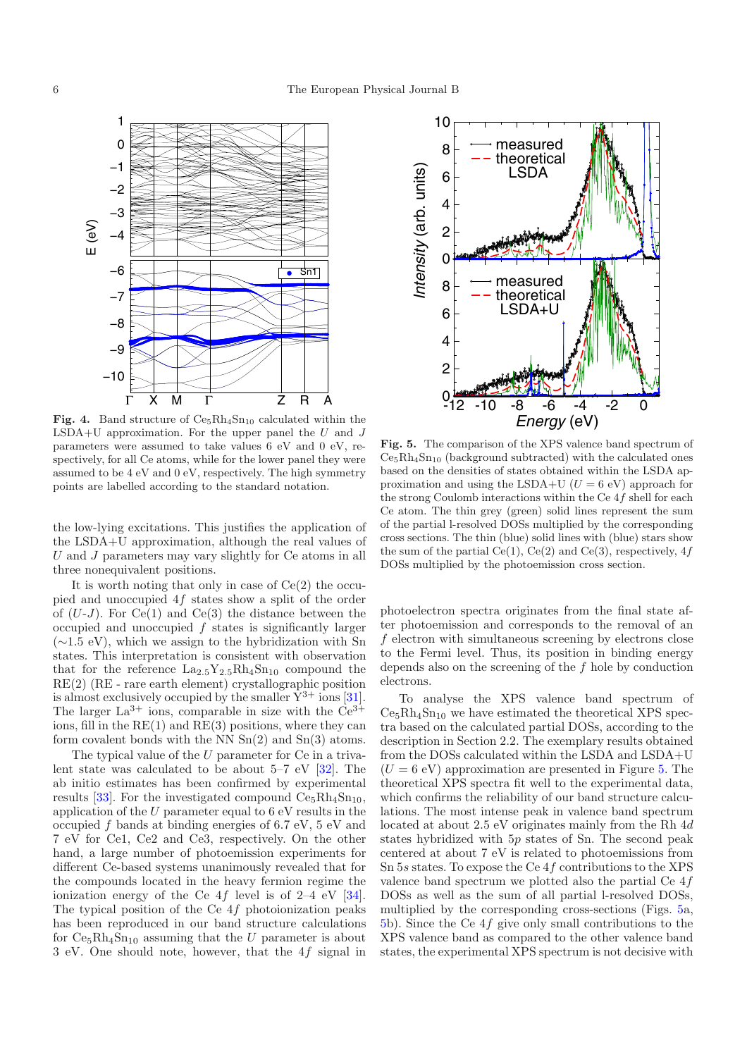<span id="page-5-0"></span>

**Fig. 4.** Band structure of  $Ce<sub>5</sub>Rh<sub>4</sub>Sn<sub>10</sub>$  calculated within the LSDA+U approximation. For the upper panel the  $U$  and  $J$ parameters were assumed to take values 6 eV and 0 eV, respectively, for all Ce atoms, while for the lower panel they were assumed to be 4 eV and 0 eV, respectively. The high symmetry points are labelled according to the standard notation.

the low-lying excitations. This justifies the application of the LSDA+U approximation, although the real values of  $U$  and  $J$  parameters may vary slightly for  $Ce$  atoms in all three nonequivalent positions.

It is worth noting that only in case of  $Ce(2)$  the occupied and unoccupied 4f states show a split of the order of  $(U-J)$ . For  $Ce(1)$  and  $Ce(3)$  the distance between the occupied and unoccupied  $f$  states is significantly larger (∼1.5 eV), which we assign to the hybridization with Sn states. This interpretation is consistent with observation that for the reference  $La_{2.5}Y_{2.5}Rh_4Sn_{10}$  compound the RE(2) (RE - rare earth element) crystallographic position is almost exclusively occupied by the smaller  $Y^{3+}$  ions [\[31\]](#page-8-26). The larger  $La^{3+}$  ions, comparable in size with the  $Ce^{3+}$ ions, fill in the  $RE(1)$  and  $RE(3)$  positions, where they can form covalent bonds with the NN Sn(2) and Sn(3) atoms.

The typical value of the  $U$  parameter for  $Ce$  in a trivalent state was calculated to be about 5–7 eV [\[32](#page-8-27)]. The ab initio estimates has been confirmed by experimental results [\[33\]](#page-8-28). For the investigated compound  $Ce<sub>5</sub>Rh<sub>4</sub>Sn<sub>10</sub>$ , application of the  $U$  parameter equal to  $6 \text{ eV}$  results in the occupied f bands at binding energies of 6.7 eV, 5 eV and 7 eV for Ce1, Ce2 and Ce3, respectively. On the other hand, a large number of photoemission experiments for different Ce-based systems unanimously revealed that for the compounds located in the heavy fermion regime the ionization energy of the Ce  $4f$  level is of 2–4 eV [\[34\]](#page-8-29). The typical position of the Ce  $4f$  photoionization peaks has been reproduced in our band structure calculations for  $Ce_5Rh_4Sn_{10}$  assuming that the U parameter is about 3 eV. One should note, however, that the 4f signal in

<span id="page-5-1"></span>

**Fig. 5.** The comparison of the XPS valence band spectrum of  $Ce<sub>5</sub>Rh<sub>4</sub>Sn<sub>10</sub>$  (background subtracted) with the calculated ones based on the densities of states obtained within the LSDA approximation and using the LSDA+U ( $U = 6$  eV) approach for the strong Coulomb interactions within the Ce 4f shell for each Ce atom. The thin grey (green) solid lines represent the sum of the partial l-resolved DOSs multiplied by the corresponding cross sections. The thin (blue) solid lines with (blue) stars show the sum of the partial Ce(1), Ce(2) and Ce(3), respectively,  $4f$ DOSs multiplied by the photoemission cross section.

photoelectron spectra originates from the final state after photoemission and corresponds to the removal of an f electron with simultaneous screening by electrons close to the Fermi level. Thus, its position in binding energy depends also on the screening of the f hole by conduction electrons.

To analyse the XPS valence band spectrum of  $Ce<sub>5</sub>Rh<sub>4</sub>Sn<sub>10</sub>$  we have estimated the theoretical XPS spectra based on the calculated partial DOSs, according to the description in Section 2.2. The exemplary results obtained from the DOSs calculated within the LSDA and LSDA+U  $(U = 6$  eV) approximation are presented in Figure [5.](#page-5-1) The theoretical XPS spectra fit well to the experimental data, which confirms the reliability of our band structure calculations. The most intense peak in valence band spectrum located at about 2.5 eV originates mainly from the Rh 4d states hybridized with 5p states of Sn. The second peak centered at about 7 eV is related to photoemissions from Sn 5s states. To expose the Ce 4f contributions to the XPS valence band spectrum we plotted also the partial Ce 4f DOSs as well as the sum of all partial l-resolved DOSs, multiplied by the corresponding cross-sections (Figs. [5a](#page-5-1), [5b](#page-5-1)). Since the Ce 4f give only small contributions to the XPS valence band as compared to the other valence band states, the experimental XPS spectrum is not decisive with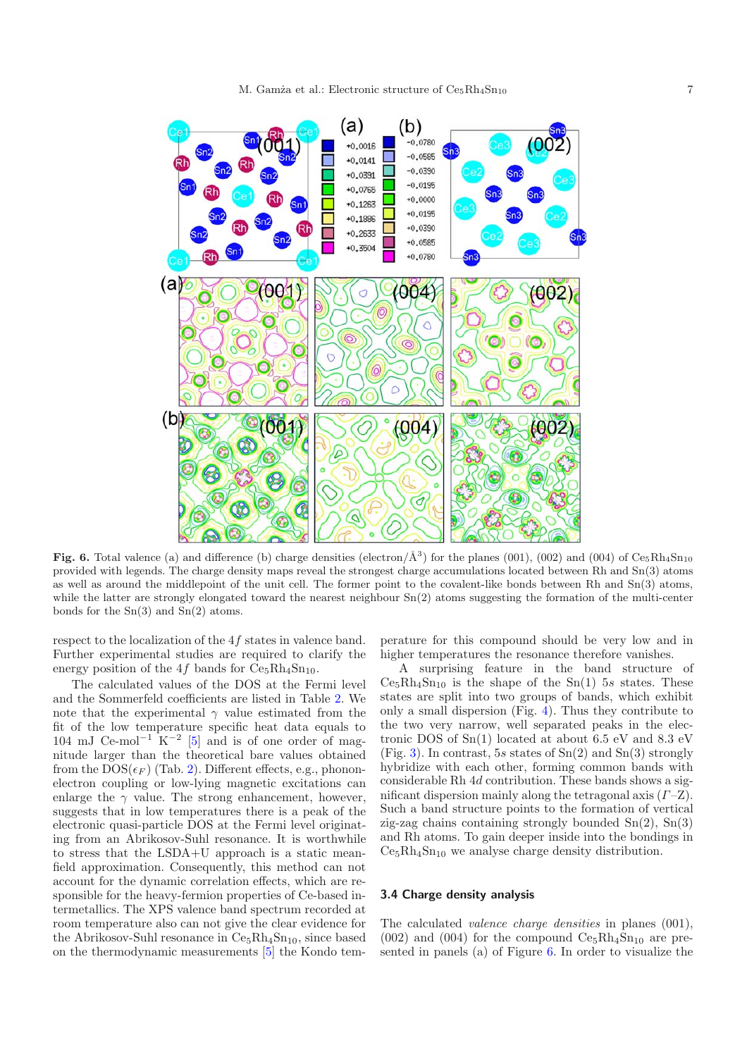

<span id="page-6-0"></span>**Fig. 6.** Total valence (a) and difference (b) charge densities (electron/ $\AA^3$ ) for the planes (001), (002) and (004) of Ce<sub>5</sub>Rh<sub>4</sub>Sn<sub>10</sub> provided with legends. The charge density maps reveal the strongest charge accumulations located between Rh and Sn(3) atoms as well as around the middlepoint of the unit cell. The former point to the covalent-like bonds between Rh and Sn(3) atoms, while the latter are strongly elongated toward the nearest neighbour  $Sn(2)$  atoms suggesting the formation of the multi-center bonds for the Sn(3) and Sn(2) atoms.

respect to the localization of the 4f states in valence band. Further experimental studies are required to clarify the energy position of the 4f bands for  $\text{Ce}_{5} \text{Rh}_{4} \text{Sn}_{10}$ .

The calculated values of the DOS at the Fermi level and the Sommerfeld coefficients are listed in Table [2.](#page-4-1) We note that the experimental  $\gamma$  value estimated from the fit of the low temperature specific heat data equals to 104 mJ Ce-mol<sup>-1</sup> K<sup>-2</sup> [\[5](#page-8-0)] and is of one order of magnitude larger than the theoretical bare values obtained from the  $\mathrm{DOS}(\epsilon_F)$  (Tab. [2\)](#page-4-1). Different effects, e.g., phononelectron coupling or low-lying magnetic excitations can enlarge the  $\gamma$  value. The strong enhancement, however, suggests that in low temperatures there is a peak of the electronic quasi-particle DOS at the Fermi level originating from an Abrikosov-Suhl resonance. It is worthwhile to stress that the LSDA+U approach is a static meanfield approximation. Consequently, this method can not account for the dynamic correlation effects, which are responsible for the heavy-fermion properties of Ce-based intermetallics. The XPS valence band spectrum recorded at room temperature also can not give the clear evidence for the Abrikosov-Suhl resonance in  $Ce<sub>5</sub>Rh<sub>4</sub>Sn<sub>10</sub>$ , since based on the thermodynamic measurements [\[5\]](#page-8-0) the Kondo tem-

perature for this compound should be very low and in higher temperatures the resonance therefore vanishes.

A surprising feature in the band structure of  $Ce<sub>5</sub>Rh<sub>4</sub>Sn<sub>10</sub>$  is the shape of the Sn(1) 5s states. These states are split into two groups of bands, which exhibit only a small dispersion (Fig. [4\)](#page-5-0). Thus they contribute to the two very narrow, well separated peaks in the electronic DOS of Sn(1) located at about 6.5 eV and 8.3 eV (Fig. [3\)](#page-4-0). In contrast, 5s states of  $Sn(2)$  and  $Sn(3)$  strongly hybridize with each other, forming common bands with considerable Rh 4d contribution. These bands shows a significant dispersion mainly along the tetragonal axis (Γ–Z). Such a band structure points to the formation of vertical zig-zag chains containing strongly bounded  $Sn(2)$ ,  $Sn(3)$ and Rh atoms. To gain deeper inside into the bondings in  $Ce<sub>5</sub>Rh<sub>4</sub>Sn<sub>10</sub>$  we analyse charge density distribution.

#### **3.4 Charge density analysis**

The calculated *valence charge densities* in planes (001),  $(002)$  and  $(004)$  for the compound  $Ce<sub>5</sub>Rh<sub>4</sub>Sn<sub>10</sub>$  are presented in panels (a) of Figure [6.](#page-6-0) In order to visualize the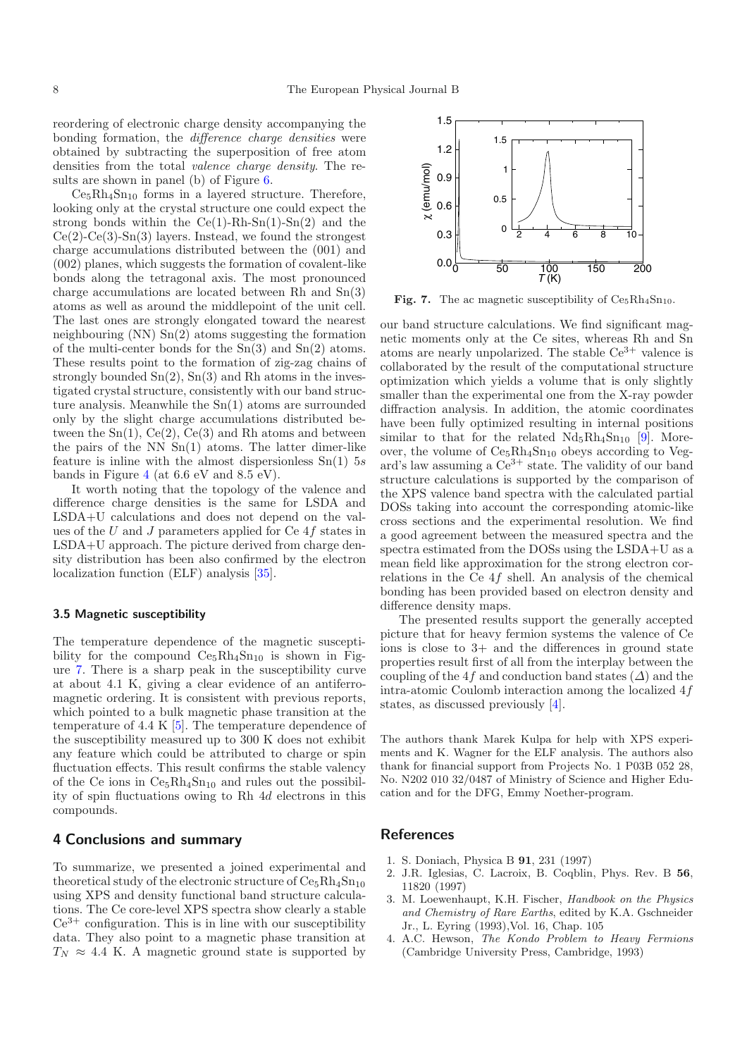reordering of electronic charge density accompanying the bonding formation, the *difference charge densities* were obtained by subtracting the superposition of free atom densities from the total *valence charge density*. The results are shown in panel (b) of Figure [6.](#page-6-0)

 $Ce<sub>5</sub>Rh<sub>4</sub>Sn<sub>10</sub>$  forms in a layered structure. Therefore, looking only at the crystal structure one could expect the strong bonds within the  $Ce(1)$ -Rh-Sn(1)-Sn(2) and the  $Ce(2)-Ce(3)-Sn(3)$  layers. Instead, we found the strongest charge accumulations distributed between the (001) and (002) planes, which suggests the formation of covalent-like bonds along the tetragonal axis. The most pronounced charge accumulations are located between Rh and Sn(3) atoms as well as around the middlepoint of the unit cell. The last ones are strongly elongated toward the nearest neighbouring (NN) Sn(2) atoms suggesting the formation of the multi-center bonds for the  $Sn(3)$  and  $Sn(2)$  atoms. These results point to the formation of zig-zag chains of strongly bounded  $\text{Sn}(2)$ ,  $\text{Sn}(3)$  and Rh atoms in the investigated crystal structure, consistently with our band structure analysis. Meanwhile the Sn(1) atoms are surrounded only by the slight charge accumulations distributed between the  $Sn(1), Ce(2), Ce(3)$  and Rh atoms and between the pairs of the NN  $Sn(1)$  atoms. The latter dimer-like feature is inline with the almost dispersionless  $Sn(1)$  5s bands in Figure [4](#page-5-0) (at 6.6 eV and 8.5 eV).

It worth noting that the topology of the valence and difference charge densities is the same for LSDA and LSDA+U calculations and does not depend on the values of the U and J parameters applied for Ce 4f states in LSDA+U approach. The picture derived from charge density distribution has been also confirmed by the electron localization function (ELF) analysis [\[35\]](#page-8-30).

#### **3.5 Magnetic susceptibility**

The temperature dependence of the magnetic susceptibility for the compound  $Ce<sub>5</sub>Rh<sub>4</sub>Sn<sub>10</sub>$  is shown in Figure [7.](#page-7-2) There is a sharp peak in the susceptibility curve at about 4.1 K, giving a clear evidence of an antiferromagnetic ordering. It is consistent with previous reports, which pointed to a bulk magnetic phase transition at the temperature of 4.4 K [\[5\]](#page-8-0). The temperature dependence of the susceptibility measured up to 300 K does not exhibit any feature which could be attributed to charge or spin fluctuation effects. This result confirms the stable valency of the Ce ions in  $Ce<sub>5</sub>Rh<sub>4</sub>Sn<sub>10</sub>$  and rules out the possibility of spin fluctuations owing to Rh 4d electrons in this compounds.

# **4 Conclusions and summary**

To summarize, we presented a joined experimental and theoretical study of the electronic structure of  $Ce<sub>5</sub>Rh<sub>4</sub>Sn<sub>10</sub>$ using XPS and density functional band structure calculations. The Ce core-level XPS spectra show clearly a stable  $Ce<sup>3+</sup>$  configuration. This is in line with our susceptibility data. They also point to a magnetic phase transition at  $T_N \approx 4.4$  K. A magnetic ground state is supported by

<span id="page-7-2"></span>

**Fig. 7.** The ac magnetic susceptibility of  $Ce<sub>5</sub>Rh<sub>4</sub>Sn<sub>10</sub>$ .

our band structure calculations. We find significant magnetic moments only at the Ce sites, whereas Rh and Sn atoms are nearly unpolarized. The stable  $Ce^{3+}$  valence is collaborated by the result of the computational structure optimization which yields a volume that is only slightly smaller than the experimental one from the X-ray powder diffraction analysis. In addition, the atomic coordinates have been fully optimized resulting in internal positions similar to that for the related  $Nd_5Rh_4Sn_{10}$  [\[9\]](#page-8-4). Moreover, the volume of  $Ce<sub>5</sub>Rh<sub>4</sub>Sn<sub>10</sub>$  obeys according to Vegard's law assuming a  $\text{Ce}^{3+}$  state. The validity of our band structure calculations is supported by the comparison of the XPS valence band spectra with the calculated partial DOSs taking into account the corresponding atomic-like cross sections and the experimental resolution. We find a good agreement between the measured spectra and the spectra estimated from the DOSs using the LSDA+U as a mean field like approximation for the strong electron correlations in the Ce 4f shell. An analysis of the chemical bonding has been provided based on electron density and difference density maps.

The presented results support the generally accepted picture that for heavy fermion systems the valence of Ce ions is close to 3+ and the differences in ground state properties result first of all from the interplay between the coupling of the 4f and conduction band states  $(\Delta)$  and the intra-atomic Coulomb interaction among the localized 4f states, as discussed previously [\[4\]](#page-7-1).

The authors thank Marek Kulpa for help with XPS experiments and K. Wagner for the ELF analysis. The authors also thank for financial support from Projects No. 1 P03B 052 28, No. N202 010 32/0487 of Ministry of Science and Higher Education and for the DFG, Emmy Noether-program.

## <span id="page-7-0"></span>**References**

- 1. S. Doniach, Physica B **91**, 231 (1997)
- 2. J.R. Iglesias, C. Lacroix, B. Coqblin, Phys. Rev. B **56**, 11820 (1997)
- 3. M. Loewenhaupt, K.H. Fischer, *Handbook on the Physics and Chemistry of Rare Earths*, edited by K.A. Gschneider Jr., L. Eyring (1993),Vol. 16, Chap. 105
- <span id="page-7-1"></span>4. A.C. Hewson, *The Kondo Problem to Heavy Fermions* (Cambridge University Press, Cambridge, 1993)